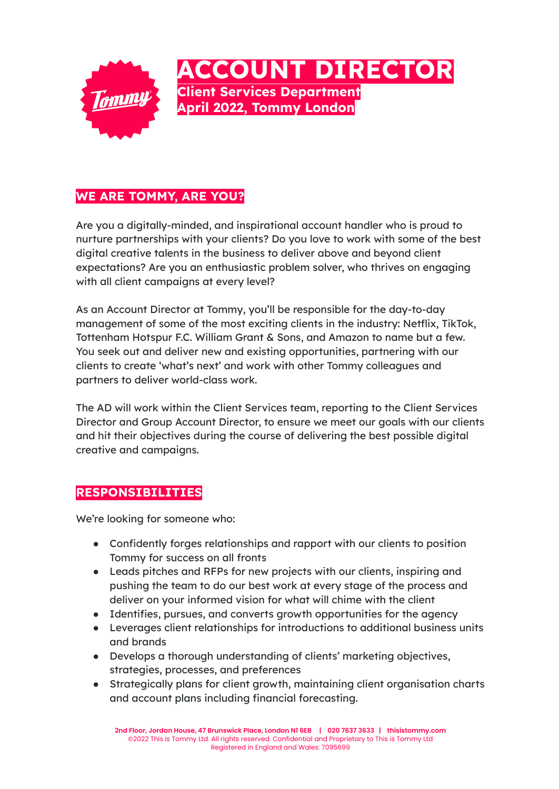

## **WE ARE TOMMY, ARE YOU?**

Are you a digitally-minded, and inspirational account handler who is proud to nurture partnerships with your clients? Do you love to work with some of the best digital creative talents in the business to deliver above and beyond client expectations? Are you an enthusiastic problem solver, who thrives on engaging with all client campaigns at every level?

As an Account Director at Tommy, you'll be responsible for the day-to-day management of some of the most exciting clients in the industry: Netflix, TikTok, Tottenham Hotspur F.C. William Grant & Sons, and Amazon to name but a few. You seek out and deliver new and existing opportunities, partnering with our clients to create 'what's next' and work with other Tommy colleagues and partners to deliver world-class work.

The AD will work within the Client Services team, reporting to the Client Services Director and Group Account Director, to ensure we meet our goals with our clients and hit their objectives during the course of delivering the best possible digital creative and campaigns.

## **RESPONSIBILITIES**

We're looking for someone who:

- Confidently forges relationships and rapport with our clients to position Tommy for success on all fronts
- Leads pitches and RFPs for new projects with our clients, inspiring and pushing the team to do our best work at every stage of the process and deliver on your informed vision for what will chime with the client
- Identifies, pursues, and converts growth opportunities for the agency
- Leverages client relationships for introductions to additional business units and brands
- Develops a thorough understanding of clients' marketing objectives, strategies, processes, and preferences
- Strategically plans for client growth, maintaining client organisation charts and account plans including financial forecasting.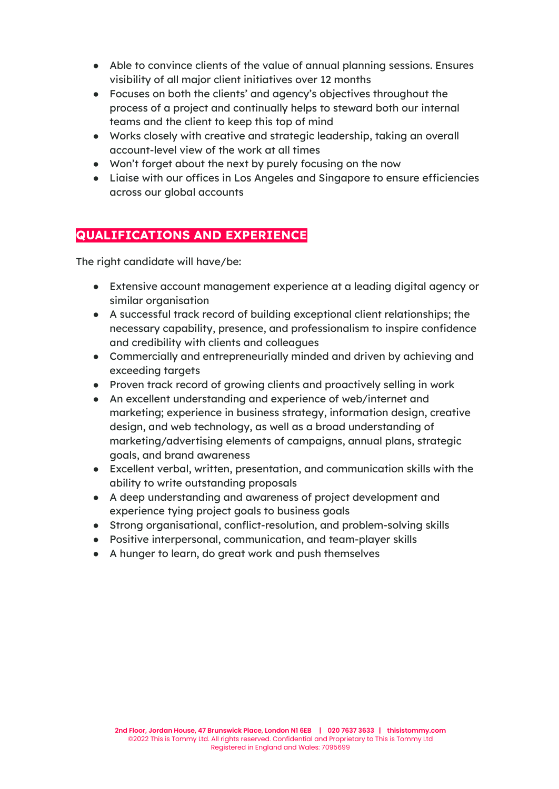- Able to convince clients of the value of annual planning sessions. Ensures visibility of all major client initiatives over 12 months
- Focuses on both the clients' and agency's objectives throughout the process of a project and continually helps to steward both our internal teams and the client to keep this top of mind
- Works closely with creative and strategic leadership, taking an overall account-level view of the work at all times
- Won't forget about the next by purely focusing on the now
- Liaise with our offices in Los Angeles and Singapore to ensure efficiencies across our global accounts

## **QUALIFICATIONS AND EXPERIENCE**

The right candidate will have/be:

- Extensive account management experience at a leading digital agency or similar organisation
- A successful track record of building exceptional client relationships; the necessary capability, presence, and professionalism to inspire confidence and credibility with clients and colleagues
- Commercially and entrepreneurially minded and driven by achieving and exceeding targets
- Proven track record of growing clients and proactively selling in work
- An excellent understanding and experience of web/internet and marketing; experience in business strategy, information design, creative design, and web technology, as well as a broad understanding of marketing/advertising elements of campaigns, annual plans, strategic goals, and brand awareness
- Excellent verbal, written, presentation, and communication skills with the ability to write outstanding proposals
- A deep understanding and awareness of project development and experience tying project goals to business goals
- Strong organisational, conflict-resolution, and problem-solving skills
- Positive interpersonal, communication, and team-player skills
- A hunger to learn, do great work and push themselves